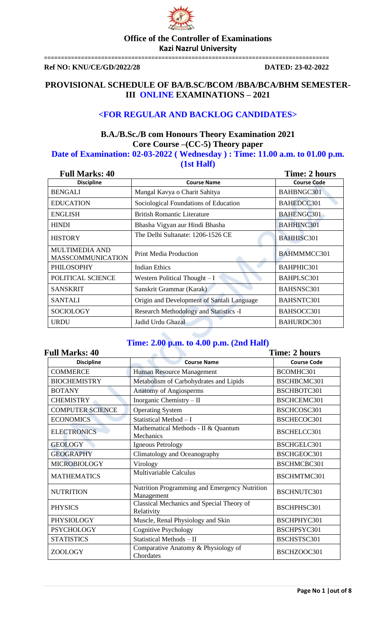

=====================================================================================

**Ref NO: KNU/CE/GD/2022/28 DATED: 23-02-2022**

## **PROVISIONAL SCHEDULE OF BA/B.SC/BCOM /BBA/BCA/BHM SEMESTER-III ONLINE EXAMINATIONS – 2021**

## **<FOR REGULAR AND BACKLOG CANDIDATES>**

## **B.A./B.Sc./B com Honours Theory Examination 2021 Core Course –(CC-5) Theory paper**

### **Date of Examination: 02-03-2022 ( Wednesday ) : Time: 11.00 a.m. to 01.00 p.m. (1st Half)**

| <b>Full Marks: 40</b>                             | <b>Time: 2 hours</b>                          |                    |
|---------------------------------------------------|-----------------------------------------------|--------------------|
| <b>Discipline</b>                                 | <b>Course Name</b>                            | <b>Course Code</b> |
| <b>BENGALI</b>                                    | Mangal Kavya o Charit Sahitya                 | BAHBNGC301         |
| <b>EDUCATION</b>                                  | Sociological Foundations of Education         | BAHEDCC301         |
| <b>ENGLISH</b>                                    | <b>British Romantic Literature</b>            | <b>BAHENGC301</b>  |
| <b>HINDI</b>                                      | Bhasha Vigyan aur Hindi Bhasha                | <b>BAHHINC301</b>  |
| <b>HISTORY</b>                                    | The Delhi Sultanate: 1206-1526 CE             | <b>BAHHISC301</b>  |
| <b>MULTIMEDIA AND</b><br><b>MASSCOMMUNICATION</b> | Print Media Production                        | BAHMMMCC301        |
| <b>PHILOSOPHY</b>                                 | <b>Indian Ethics</b>                          | BAHPHIC301         |
| POLITICAL SCIENCE                                 | Western Political Thought $-I$                | BAHPLSC301         |
| SANSKRIT                                          | Sanskrit Grammar (Karak)                      | BAHSNSC301         |
| <b>SANTALI</b>                                    | Origin and Development of Santali Language    | BAHSNTC301         |
| <b>SOCIOLOGY</b>                                  | <b>Research Methodology and Statistics -I</b> | BAHSOCC301         |
| <b>URDU</b>                                       | Jadid Urdu Ghazal                             | BAHURDC301         |

## **Time: 2.00 p.m. to 4.00 p.m. (2nd Half)**

| <b>Full Marks: 40</b>   | Time: 2 hours                                               |                    |
|-------------------------|-------------------------------------------------------------|--------------------|
| <b>Discipline</b>       | <b>Course Name</b>                                          | <b>Course Code</b> |
| <b>COMMERCE</b>         | Human Resource Management                                   | BCOMHC301          |
| <b>BIOCHEMISTRY</b>     | Metabolism of Carbohydrates and Lipids                      | BSCHBCMC301        |
| <b>BOTANY</b>           | <b>Anatomy of Angiosperms</b>                               | BSCHBOTC301        |
| <b>CHEMISTRY</b>        | Inorganic Chemistry - II                                    | BSCHCEMC301        |
| <b>COMPUTER SCIENCE</b> | <b>Operating System</b>                                     | BSCHCOSC301        |
| <b>ECONOMICS</b>        | Statistical Method - I                                      | BSCHECOC301        |
| <b>ELECTRONICS</b>      | Mathematical Methods - II & Quantum<br>Mechanics            | BSCHELCC301        |
| <b>GEOLOGY</b>          | Igneous Petrology                                           | BSCHGELC301        |
| <b>GEOGRAPHY</b>        | Climatology and Oceanography                                | BSCHGEOC301        |
| <b>MICROBIOLOGY</b>     | Virology                                                    | BSCHMCBC301        |
| <b>MATHEMATICS</b>      | Multivariable Calculus                                      | BSCHMTMC301        |
| <b>NUTRITION</b>        | Nutrition Programming and Emergency Nutrition<br>Management | BSCHNUTC301        |
| <b>PHYSICS</b>          | Classical Mechanics and Special Theory of<br>Relativity     | BSCHPHSC301        |
| PHYSIOLOGY              | Muscle, Renal Physiology and Skin                           | BSCHPHYC301        |
| <b>PSYCHOLOGY</b>       | Cognitive Psychology                                        | BSCHPSYC301        |
| <b>STATISTICS</b>       | Statistical Methods - II                                    | BSCHSTSC301        |
| ZOOLOGY                 | Comparative Anatomy & Physiology of<br>Chordates            | BSCHZOOC301        |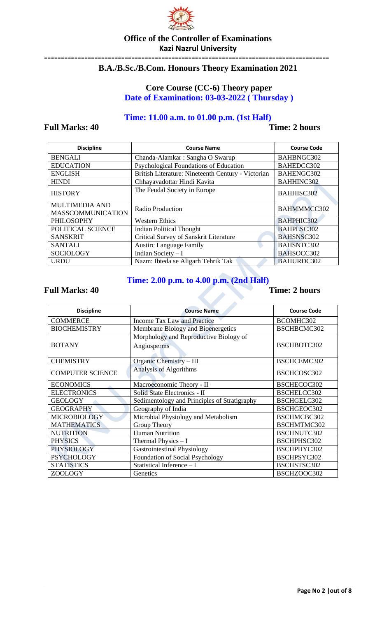

### **Office of the Controller of Examinations Kazi Nazrul University** =====================================================================================

## **B.A./B.Sc./B.Com. Honours Theory Examination 2021**

## **Core Course (CC-6) Theory paper Date of Examination: 03-03-2022 ( Thursday )**

## **Time: 11.00 a.m. to 01.00 p.m. (1st Half)**

### **Full Marks: 40 Time: 2 hours**

| <b>Discipline</b>                                 | <b>Course Name</b>                                 | <b>Course Code</b> |
|---------------------------------------------------|----------------------------------------------------|--------------------|
| <b>BENGALI</b>                                    | Chanda-Alamkar: Sangha O Swarup                    | BAHBNGC302         |
| <b>EDUCATION</b>                                  | Psychological Foundations of Education             | BAHEDCC302         |
| <b>ENGLISH</b>                                    | British Literature: Nineteenth Century - Victorian | BAHENGC302         |
| <b>HINDI</b>                                      | Chhayavadottar Hindi Kavita                        | <b>BAHHINC302</b>  |
| <b>HISTORY</b>                                    | The Feudal Society in Europe                       | <b>BAHHISC302</b>  |
| <b>MULTIMEDIA AND</b><br><b>MASSCOMMUNICATION</b> | Radio Production                                   | BAHMMMCC302        |
| <b>PHILOSOPHY</b>                                 | <b>Western Ethics</b>                              | <b>BAHPHIC302</b>  |
| POLITICAL SCIENCE                                 | <b>Indian Political Thought</b>                    | BAHPLSC302         |
| <b>SANSKRIT</b>                                   | Critical Survey of Sanskrit Literature             | <b>BAHSNSC302</b>  |
| <b>SANTALI</b>                                    | <b>Austirc Language Family</b>                     | <b>BAHSNTC302</b>  |
| <b>SOCIOLOGY</b>                                  | Indian Society - I                                 | BAHSOCC302         |
| <b>URDU</b>                                       | Nazm: Ibteda se Aligarh Tehrik Tak                 | <b>BAHURDC302</b>  |

## **Time: 2.00 p.m. to 4.00 p.m. (2nd Half)**

| <b>Discipline</b>                                       | <b>Course Name</b>                                    | <b>Course Code</b> |
|---------------------------------------------------------|-------------------------------------------------------|--------------------|
| <b>COMMERCE</b>                                         | <b>Income Tax Law and Practice</b>                    | BCOMHC302          |
| <b>BIOCHEMISTRY</b>                                     | Membrane Biology and Bioenergetics                    | BSCHBCMC302        |
| <b>BOTANY</b>                                           | Morphology and Reproductive Biology of<br>Angiosperms | BSCHBOTC302        |
| <b>CHEMISTRY</b>                                        | Organic Chemistry - III                               | BSCHCEMC302        |
| <b>COMPUTER SCIENCE</b>                                 | Analysis of Algorithms                                | BSCHCOSC302        |
| <b>ECONOMICS</b>                                        | Macroeconomic Theory - II                             | BSCHECOC302        |
| <b>ELECTRONICS</b>                                      | Solid State Electronics - II                          | BSCHELCC302        |
| <b>GEOLOGY</b>                                          | Sedimentology and Principles of Stratigraphy          | BSCHGELC302        |
| <b>GEOGRAPHY</b>                                        | Geography of India                                    | BSCHGEOC302        |
| <b>MICROBIOLOGY</b>                                     | Microbial Physiology and Metabolism                   | BSCHMCBC302        |
| <b>MATHEMATICS</b>                                      | Group Theory                                          | BSCHMTMC302        |
| <b>NUTRITION</b>                                        | <b>Human Nutrition</b>                                | <b>BSCHNUTC302</b> |
| <b>PHYSICS</b>                                          | Thermal Physics $- I$                                 | BSCHPHSC302        |
| <b>PHYSIOLOGY</b><br><b>Gastrointestinal Physiology</b> |                                                       | BSCHPHYC302        |
| <b>PSYCHOLOGY</b>                                       | Foundation of Social Psychology                       | BSCHPSYC302        |
| <b>STATISTICS</b>                                       | Statistical Inference - I                             | BSCHSTSC302        |
| ZOOLOGY                                                 | Genetics                                              | BSCHZOOC302        |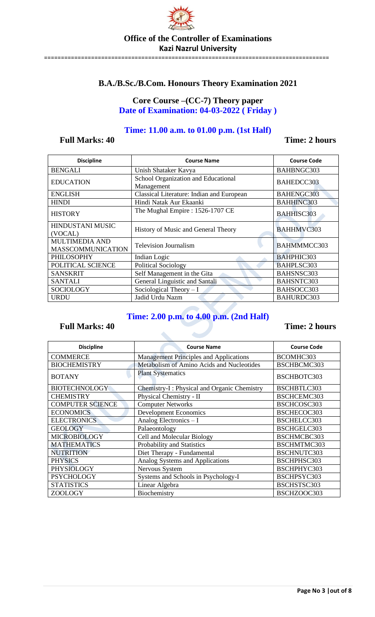

### **Office of the Controller of Examinations Kazi Nazrul University** =====================================================================================

## **B.A./B.Sc./B.Com. Honours Theory Examination 2021**

## **Core Course –(CC-7) Theory paper Date of Examination: 04-03-2022 ( Friday )**

### **Time: 11.00 a.m. to 01.00 p.m. (1st Half)**

## **Full Marks: 40** Time: 2 **hours**

| <b>Discipline</b>        | <b>Course Name</b>                                | <b>Course Code</b> |  |
|--------------------------|---------------------------------------------------|--------------------|--|
| <b>BENGALI</b>           | Unish Shataker Kavya                              | BAHBNGC303         |  |
| <b>EDUCATION</b>         | School Organization and Educational<br>Management | BAHEDCC303         |  |
| <b>ENGLISH</b>           | Classical Literature: Indian and European         | BAHENGC303         |  |
| <b>HINDI</b>             | Hindi Natak Aur Ekaanki                           | <b>BAHHINC303</b>  |  |
| <b>HISTORY</b>           | The Mughal Empire: 1526-1707 CE                   | <b>BAHHISC303</b>  |  |
| <b>HINDUSTANI MUSIC</b>  | History of Music and General Theory               | <b>BAHHMVC303</b>  |  |
| (VOCAL)                  |                                                   |                    |  |
| MULTIMEDIA AND           | <b>Television Journalism</b>                      | BAHMMMCC303        |  |
| <b>MASSCOMMUNICATION</b> |                                                   |                    |  |
| <b>PHILOSOPHY</b>        | Indian Logic                                      | BAHPHIC303         |  |
| POLITICAL SCIENCE        | <b>Political Sociology</b>                        | BAHPLSC303         |  |
| <b>SANSKRIT</b>          | Self Management in the Gita                       | BAHSNSC303         |  |
| <b>SANTALI</b>           | General Linguistic and Santali                    | BAHSNTC303         |  |
| <b>SOCIOLOGY</b>         | Sociological Theory $-I$                          | BAHSOCC303         |  |
| <b>URDU</b>              | Jadid Urdu Nazm                                   | BAHURDC303         |  |

## **Time: 2.00 p.m. to 4.00 p.m. (2nd Half)**

a.

| <b>Discipline</b>       | <b>Course Name</b>                            | <b>Course Code</b> |
|-------------------------|-----------------------------------------------|--------------------|
| <b>COMMERCE</b>         | <b>Management Principles and Applications</b> | BCOMHC303          |
| <b>BIOCHEMISTRY</b>     | Metabolism of Amino Acids and Nucleotides     | BSCHBCMC303        |
| <b>BOTANY</b>           | <b>Plant Systematics</b>                      | BSCHBOTC303        |
| <b>BIOTECHNOLOGY</b>    | Chemistry-I: Physical and Organic Chemistry   | BSCHBTLC303        |
| <b>CHEMISTRY</b>        | Physical Chemistry - II                       | BSCHCEMC303        |
| <b>COMPUTER SCIENCE</b> | <b>Computer Networks</b>                      | BSCHCOSC303        |
| <b>ECONOMICS</b>        | <b>Development Economics</b>                  | BSCHECOC303        |
| <b>ELECTRONICS</b>      | Analog Electronics - I                        | BSCHELCC303        |
| <b>GEOLOGY</b>          | Palaeontology                                 | BSCHGELC303        |
| <b>MICROBIOLOGY</b>     | Cell and Molecular Biology                    | BSCHMCBC303        |
| <b>MATHEMATICS</b>      | Probability and Statistics                    | BSCHMTMC303        |
| <b>NUTRITION</b>        | Diet Therapy - Fundamental                    | BSCHNUTC303        |
| <b>PHYSICS</b>          | Analog Systems and Applications               | BSCHPHSC303        |
| <b>PHYSIOLOGY</b>       | Nervous System                                | BSCHPHYC303        |
| <b>PSYCHOLOGY</b>       | Systems and Schools in Psychology-I           |                    |
| <b>STATISTICS</b>       | Linear Algebra                                |                    |
| ZOOLOGY                 | Biochemistry                                  | BSCHZOOC303        |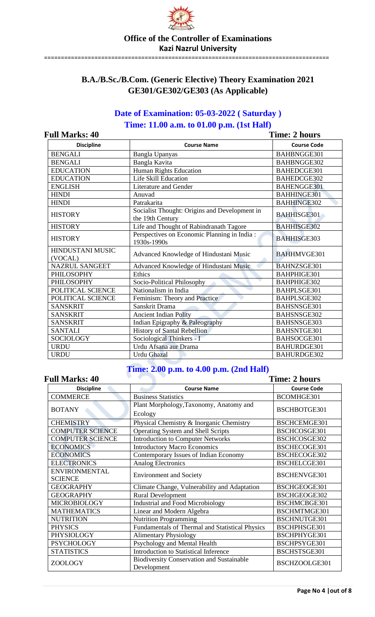

=====================================================================================

## **B.A./B.Sc./B.Com. (Generic Elective) Theory Examination 2021 GE301/GE302/GE303 (As Applicable)**

## **Date of Examination: 05-03-2022 ( Saturday ) Time: 11.00 a.m. to 01.00 p.m. (1st Half)**

**Full Marks: 40 Time: 2 hours**

| uli iylafks: 40<br>THRE: 2 HOURS |                                                                   |                    |
|----------------------------------|-------------------------------------------------------------------|--------------------|
| <b>Discipline</b>                | <b>Course Name</b>                                                | <b>Course Code</b> |
| <b>BENGALI</b>                   | Bangla Upanyas                                                    | BAHBNGGE301        |
| <b>BENGALI</b>                   | Bangla Kavita                                                     | BAHBNGGE302        |
| <b>EDUCATION</b>                 | Human Rights Education                                            | BAHEDCGE301        |
| <b>EDUCATION</b>                 | Life Skill Education                                              | BAHEDCGE302        |
| <b>ENGLISH</b>                   | Literature and Gender                                             | BAHENGGE301        |
| <b>HINDI</b>                     | Anuvad                                                            | <b>BAHHINGE301</b> |
| <b>HINDI</b>                     | Patrakarita                                                       | <b>BAHHINGE302</b> |
| <b>HISTORY</b>                   | Socialist Thought: Origins and Development in<br>the 19th Century | <b>BAHHISGE301</b> |
| <b>HISTORY</b>                   | Life and Thought of Rabindranath Tagore                           | <b>BAHHISGE302</b> |
| <b>HISTORY</b>                   | Perspectives on Economic Planning in India:<br>1930s-1990s        | <b>BAHHISGE303</b> |
| HINDUSTANI MUSIC<br>(VOCAL)      | Advanced Knowledge of Hindustani Music                            | <b>BAHHMVGE301</b> |
| <b>NAZRUL SANGEET</b>            | Advanced Knowledge of Hindustani Music                            | BAHNZSGE301        |
| <b>PHILOSOPHY</b>                | Ethics                                                            | BAHPHIGE301        |
| <b>PHILOSOPHY</b>                | Socio-Political Philosophy                                        | BAHPHIGE302        |
| POLITICAL SCIENCE                | Nationalism in India                                              | BAHPLSGE301        |
| POLITICAL SCIENCE                | Feminism: Theory and Practice                                     | BAHPLSGE302        |
| <b>SANSKRIT</b>                  | Sanskrit Drama                                                    | BAHSNSGE301        |
| <b>SANSKRIT</b>                  | <b>Ancient Indian Polity</b>                                      | BAHSNSGE302        |
| <b>SANSKRIT</b>                  | Indian Epigraphy & Paleography                                    | BAHSNSGE303        |
| <b>SANTALI</b>                   | History of Santal Rebellion                                       | BAHSNTGE301        |
| <b>SOCIOLOGY</b>                 | Sociological Thinkers - I                                         | BAHSOCGE301        |
| <b>URDU</b>                      | Urdu Afsana aur Drama                                             | BAHURDGE301        |
| <b>URDU</b>                      | <b>Urdu Ghazal</b>                                                | BAHURDGE302        |

## **Time: 2.00 p.m. to 4.00 p.m. (2nd Half)**

### Full Marks: 40 Time: 2 hours **Discipline Course Name Course Name Course Code Course Code** COMMERCE Business Statistics BCOMHGE301 BOTANY Plant Morphology,Taxonomy, Anatomy and Ecology BSCHBOTGE301 CHEMISTRY Physical Chemistry & Inorganic Chemistry BSCHCEMGE301 COMPUTER SCIENCE | Operating System and Shell Scripts | BSCHCOSGE301 COMPUTER SCIENCE | Introduction to Computer Networks | BSCHCOSGE302 ECONOMICS Introductory Macro Economics BSCHECOGE301 ECONOMICS Contemporary Issues of Indian Economy BSCHECOGE302 ELECTRONICS Analog Electronics BSCHELCGE301 ENVIRONMENTAL ENVIRONMENTAL Environment and Society BSCHENVGE301 GEOGRAPHY Climate Change, Vulnerability and Adaptation BSCHGEOGE301 GEOGRAPHY Rural Development BSCHGEOGE302 MICROBIOLOGY | Industrial and Food Microbiology | BSCHMCBGE301 MATHEMATICS Linear and Modern Algebra | BSCHMTMGE301 NUTRITION Nutrition Programming BSCHNUTGE301 PHYSICS Fundamentals of Thermal and Statistical Physics BSCHPHSGE301 PHYSIOLOGY Alimentary Physiology BSCHPHYGE301<br>
PSYCHOLOGY PSychology and Mental Health BSCHPSYGE301 Psychology and Mental Health BSCHPSYGE301 STATISTICS Introduction to Statistical Inference BSCHSTSGE301 ZOOLOGY Biodiversity Conservation and Sustainable<br>Development BSCHZOOLGE301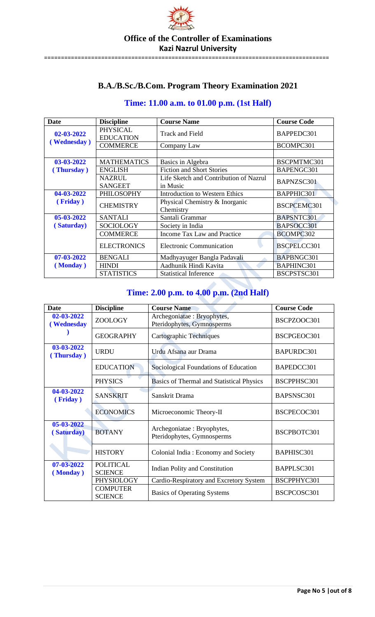

=====================================================================================

## **B.A./B.Sc./B.Com. Program Theory Examination 2021**

## **Time: 11.00 a.m. to 01.00 p.m. (1st Half)**

| Date             | <b>Discipline</b>                   | <b>Course Name</b>                                 | <b>Course Code</b> |
|------------------|-------------------------------------|----------------------------------------------------|--------------------|
| 02-03-2022       | <b>PHYSICAL</b><br><b>EDUCATION</b> | <b>Track and Field</b>                             | BAPPEDC301         |
| (Wednesday)      | <b>COMMERCE</b>                     | Company Law                                        | BCOMPC301          |
|                  |                                     |                                                    |                    |
| 03-03-2022       | <b>MATHEMATICS</b>                  | Basics in Algebra                                  | BSCPMTMC301        |
| (Thursday)       | <b>ENGLISH</b>                      | <b>Fiction and Short Stories</b>                   | BAPENGC301         |
|                  | <b>NAZRUL</b><br><b>SANGEET</b>     | Life Sketch and Contribution of Nazrul<br>in Music | BAPNZSC301         |
| 04-03-2022       | PHILOSOPHY                          | <b>Introduction to Western Ethics</b>              | BAPPHIC301         |
| (Friday)         | <b>CHEMISTRY</b>                    | Physical Chemistry & Inorganic<br>Chemistry        | BSCPCEMC301        |
| 05-03-2022       | SANTALI                             | Santali Grammar                                    | BAPSNTC301         |
| (Saturday)       | <b>SOCIOLOGY</b>                    | Society in India                                   | BAPSOCC301         |
|                  | <b>COMMERCE</b>                     | Income Tax Law and Practice                        | BCOMPC302          |
|                  | <b>ELECTRONICS</b>                  | <b>Electronic Communication</b>                    | BSCPELCC301        |
| $07 - 03 - 2022$ | <b>BENGALI</b>                      | Madhyayuger Bangla Padavali                        | BAPBNGC301         |
| (Monday)         | <b>HINDI</b>                        | Aadhunik Hindi Kavita                              | BAPHINC301         |
|                  | <b>STATISTICS</b>                   | <b>Statistical Inference</b>                       | BSCPSTSC301        |

## **Time: 2.00 p.m. to 4.00 p.m. (2nd Half)**

| <b>Date</b>              | <b>Discipline</b>                  | <b>Course Name</b>                                       | <b>Course Code</b> |
|--------------------------|------------------------------------|----------------------------------------------------------|--------------------|
| 02-03-2022<br>(Wednesday | ZOOLOGY                            | Archegoniatae: Bryophytes,<br>Pteridophytes, Gymnosperms | BSCPZOOC301        |
|                          | <b>GEOGRAPHY</b>                   | Cartographic Techniques                                  | BSCPGEOC301        |
| 03-03-2022<br>(Thursday) | <b>URDU</b>                        | Urdu Afsana aur Drama                                    | BAPURDC301         |
|                          | <b>EDUCATION</b>                   | Sociological Foundations of Education                    | BAPEDCC301         |
|                          | <b>PHYSICS</b>                     | Basics of Thermal and Statistical Physics                | BSCPPHSC301        |
| 04-03-2022<br>(Friday)   | <b>SANSKRIT</b>                    | Sanskrit Drama                                           | BAPSNSC301         |
|                          | <b>ECONOMICS</b>                   | Microeconomic Theory-II                                  | BSCPECOC301        |
| 05-03-2022<br>(Saturday) | <b>BOTANY</b>                      | Archegoniatae: Bryophytes,<br>Pteridophytes, Gymnosperms | BSCPBOTC301        |
|                          | <b>HISTORY</b>                     | Colonial India: Economy and Society                      | BAPHISC301         |
| 07-03-2022<br>(Monday)   | <b>POLITICAL</b><br><b>SCIENCE</b> | Indian Polity and Constitution                           | BAPPLSC301         |
|                          | PHYSIOLOGY                         | Cardio-Respiratory and Excretory System                  | BSCPPHYC301        |
|                          | <b>COMPUTER</b><br><b>SCIENCE</b>  | <b>Basics of Operating Systems</b>                       | BSCPCOSC301        |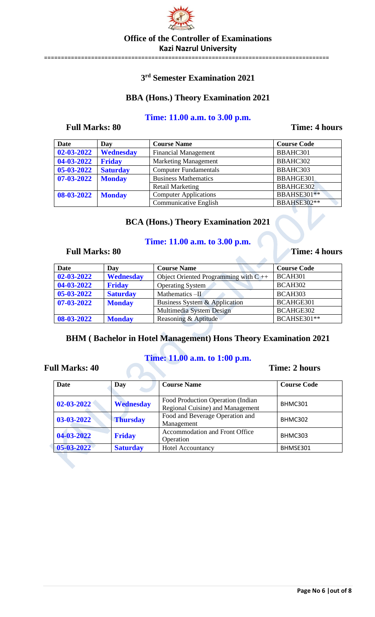

=====================================================================================

**3 rd Semester Examination 2021**

## **BBA (Hons.) Theory Examination 2021**

## **Time: 11.00 a.m. to 3.00 p.m.**

## **Full Marks: 80 Time: 4 hours**

| <b>Date</b> | Day             | <b>Course Name</b>           | <b>Course Code</b> |
|-------------|-----------------|------------------------------|--------------------|
| 02-03-2022  | Wednesday       | <b>Financial Management</b>  | BBAHC301           |
| 04-03-2022  | <b>Friday</b>   | <b>Marketing Management</b>  | BBAHC302           |
| 05-03-2022  | <b>Saturday</b> | <b>Computer Fundamentals</b> | BBAHC303           |
| 07-03-2022  | <b>Monday</b>   | <b>Business Mathematics</b>  | BBAHGE301          |
|             |                 | <b>Retail Marketing</b>      | BBAHGE302          |
| 08-03-2022  | <b>Monday</b>   | <b>Computer Applications</b> | <b>BBAHSE301**</b> |
|             |                 | Communicative English        | <b>BBAHSE302**</b> |

## **BCA (Hons.) Theory Examination 2021**

## **Time: 11.00 a.m. to 3.00 p.m.**

## Full Marks: 80 Time: 4 hours

| <b>Date</b>      | Day              | <b>Course Name</b>                        | <b>Course Code</b> |
|------------------|------------------|-------------------------------------------|--------------------|
| 02-03-2022       | <b>Wednesday</b> | Object Oriented Programming with $C_{++}$ | BCAH301            |
| 04-03-2022       | <b>Friday</b>    | Operating System                          | BCAH302            |
| 05-03-2022       | <b>Saturday</b>  | Mathematics $-II$                         | BCAH303            |
| $07 - 03 - 2022$ | <b>Monday</b>    | Business System & Application             | BCAHGE301          |
|                  |                  | Multimedia System Design                  | BCAHGE302          |
| 08-03-2022       | <b>Monday</b>    | Reasoning & Aptitude                      | <b>BCAHSE301**</b> |

## **BHM ( Bachelor in Hotel Management) Hons Theory Examination 2021**

## **Time: 11.00 a.m. to 1:00 p.m.**

| <b>Date</b>      | Day              | <b>Course Name</b>                                                    | <b>Course Code</b> |
|------------------|------------------|-----------------------------------------------------------------------|--------------------|
| $02 - 03 - 2022$ | <b>Wednesday</b> | Food Production Operation (Indian<br>Regional Cuisine) and Management | BHMC301            |
| $03 - 03 - 2022$ | <b>Thursday</b>  | Food and Beverage Operation and<br>Management                         | BHMC302            |
| 04-03-2022       | <b>Friday</b>    | Accommodation and Front Office<br>Operation                           | BHMC303            |
| $05 - 03 - 2022$ | <b>Saturday</b>  | Hotel Accountancy                                                     | BHMSE301           |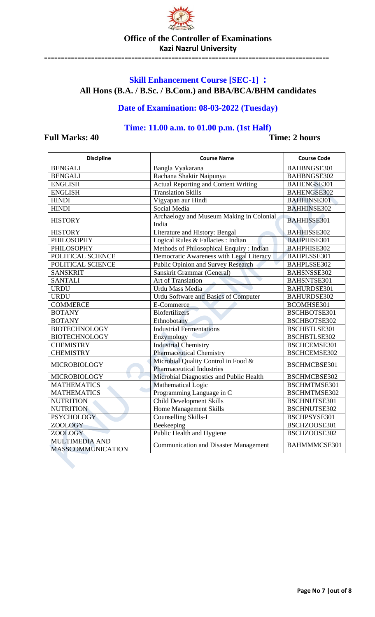

=====================================================================================

## **Office of the Controller of Examinations Kazi Nazrul University**

## **Skill Enhancement Course [SEC-1] : All Hons (B.A. / B.Sc. / B.Com.) and BBA/BCA/BHM candidates**

## **Date of Examination: 08-03-2022 (Tuesday)**

## **Time: 11.00 a.m. to 01.00 p.m. (1st Half)**

| <b>Discipline</b>                                 | <b>Course Name</b>                                                      | <b>Course Code</b>  |
|---------------------------------------------------|-------------------------------------------------------------------------|---------------------|
| <b>BENGALI</b>                                    | Bangla Vyakarana                                                        | BAHBNGSE301         |
| <b>BENGALI</b>                                    | Rachana Shaktir Naipunya                                                | BAHBNGSE302         |
| <b>ENGLISH</b>                                    | <b>Actual Reporting and Content Writing</b>                             | BAHENGSE301         |
| <b>ENGLISH</b>                                    | <b>Translation Skills</b>                                               | BAHENGSE302         |
| <b>HINDI</b>                                      | Vigyapan aur Hindi                                                      | <b>BAHHINSE301</b>  |
| <b>HINDI</b>                                      | Social Media                                                            | <b>BAHHINSE302</b>  |
| <b>HISTORY</b>                                    | Archaelogy and Museum Making in Colonial<br>India                       | <b>BAHHISSE301</b>  |
| <b>HISTORY</b>                                    | Literature and History: Bengal                                          | <b>BAHHISSE302</b>  |
| PHILOSOPHY                                        | Logical Rules & Fallacies : Indian                                      | <b>BAHPHISE301</b>  |
| PHILOSOPHY                                        | Methods of Philosophical Enquiry: Indian                                | <b>BAHPHISE302</b>  |
| POLITICAL SCIENCE                                 | Democratic Awareness with Legal Literacy                                | BAHPLSSE301         |
| POLITICAL SCIENCE                                 | <b>Public Opinion and Survey Research</b>                               | BAHPLSSE302         |
| <b>SANSKRIT</b>                                   | Sanskrit Grammar (General)                                              | BAHSNSSE302         |
| <b>SANTALI</b>                                    | Art of Translation                                                      | BAHSNTSE301         |
| <b>URDU</b>                                       | Urdu Mass Media                                                         | BAHURDSE301         |
| <b>URDU</b>                                       | <b>Urdu Software and Basics of Computer</b>                             | BAHURDSE302         |
| <b>COMMERCE</b>                                   | E-Commerce                                                              | BCOMHSE301          |
| <b>BOTANY</b>                                     | <b>Biofertilizers</b>                                                   | BSCHBOTSE301        |
| <b>BOTANY</b>                                     | Ethnobotany                                                             | BSCHBOTSE302        |
| <b>BIOTECHNOLOGY</b>                              | <b>Industrial Fermentations</b>                                         | BSCHBTLSE301        |
| <b>BIOTECHNOLOGY</b>                              | Enzymology                                                              | <b>BSCHBTLSE302</b> |
| <b>CHEMISTRY</b>                                  | <b>Industrial Chemistry</b>                                             | BSCHCEMSE301        |
| <b>CHEMISTRY</b>                                  | <b>Pharmaceutical Chemistry</b>                                         | BSCHCEMSE302        |
| <b>MICROBIOLOGY</b>                               | Microbial Quality Control in Food &<br><b>Pharmaceutical Industries</b> | BSCHMCBSE301        |
| o<br>MICROBIOLOGY                                 | Microbial Diagnostics and Public Health                                 | BSCHMCBSE302        |
| <b>MATHEMATICS</b>                                | Mathematical Logic                                                      | BSCHMTMSE301        |
| <b>MATHEMATICS</b>                                | Programming Language in C                                               | BSCHMTMSE302        |
| <b>NUTRITION</b>                                  | <b>Child Development Skills</b>                                         | BSCHNUTSE301        |
| <b>NUTRITION</b>                                  | <b>Home Management Skills</b>                                           | BSCHNUTSE302        |
| <b>PSYCHOLOGY</b>                                 | Counselling Skills-I                                                    | BSCHPSYSE301        |
| ZOOLOGY                                           | Beekeeping                                                              | BSCHZOOSE301        |
| ZOOLOGY                                           | Public Health and Hygiene                                               | BSCHZOOSE302        |
| <b>MULTIMEDIA AND</b><br><b>MASSCOMMUNICATION</b> | <b>Communication and Disaster Management</b>                            | BAHMMMCSE301        |